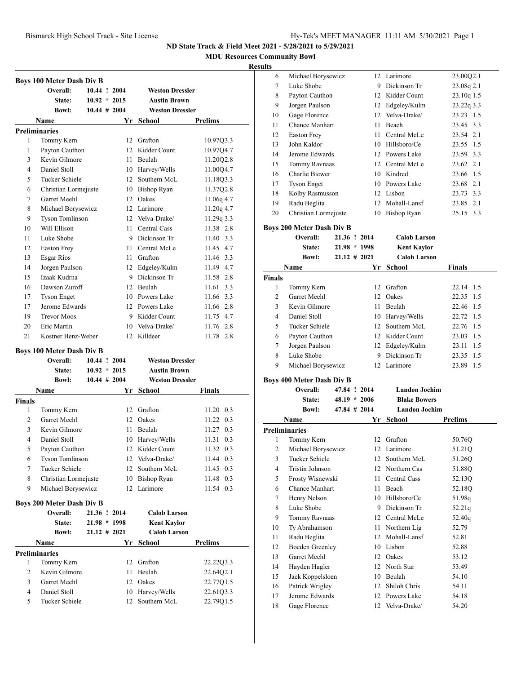**MDU Resources Community Bowl**

#### **Result**

|                | <b>Boys 100 Meter Dash Div B</b> |                 |                |                        |                   |
|----------------|----------------------------------|-----------------|----------------|------------------------|-------------------|
|                | Overall:                         |                 | 10.44 ! 2004   | <b>Weston Dressler</b> |                   |
|                | State:                           | $10.92 * 2015$  |                | <b>Austin Brown</b>    |                   |
|                | <b>Bowl:</b>                     | $10.44 \# 2004$ |                | <b>Weston Dressler</b> |                   |
|                | Name                             |                 |                | Yr School              | Prelims           |
|                | <b>Preliminaries</b>             |                 |                |                        |                   |
| 1              | Tommy Kern                       |                 |                | 12 Grafton             | 10.97Q3.3         |
| 1              | Payton Cauthon                   |                 |                | 12 Kidder Count        | 10.97Q4.7         |
| 3              | Kevin Gilmore                    |                 | 11.            | Beulah                 | 11.20Q2.8         |
| 4              | Daniel Stoll                     |                 |                | 10 Harvey/Wells        | 11.00Q4.7         |
| 5              | <b>Tucker Schiele</b>            |                 | 12             | Southern McL           | 11.18Q3.3         |
| 6              | Christian Lormejuste             |                 |                | 10 Bishop Ryan         | 11.37Q2.8         |
| 7              | Garret Meehl                     |                 |                | 12 Oakes               | 11.06q 4.7        |
| 8              | Michael Borysewicz               |                 |                | 12 Larimore            | 11.20q 4.7        |
| 9              | <b>Tyson Tomlinson</b>           |                 |                | 12 Velva-Drake/        | 11.29q 3.3        |
| 10             | Will Ellison                     |                 |                | 11 Central Cass        | 11.38 2.8         |
| 11             | Luke Shobe                       |                 |                | 9 Dickinson Tr         | 11.40 3.3         |
| 12             | <b>Easton Frey</b>               |                 |                | 11 Central McLe        | 11.45 4.7         |
| 13             | <b>Esgar Rios</b>                |                 |                | 11 Grafton             | 11.46 3.3         |
| 14             | Jorgen Paulson                   |                 |                | 12 Edgeley/Kulm        | 11.49 4.7         |
| 15             | Izaak Kudrna                     |                 |                | 9 Dickinson Tr         | 11.58 2.8         |
| 16             | Dawson Zuroff                    |                 |                | 12 Beulah              | 3.3<br>11.61      |
| 17             | <b>Tyson Enget</b>               |                 |                | 10 Powers Lake         | 11.66 3.3         |
| 17             | Jerome Edwards                   |                 |                | 12 Powers Lake         | 11.66 2.8         |
| 19             | <b>Trevor Moos</b>               |                 |                | 9 Kidder Count         | 11.75 4.7         |
| 20             | Eric Martin                      |                 |                | 10 Velva-Drake/        | 11.76 2.8         |
| 21             | Kostner Benz-Weber               |                 |                | 12 Killdeer            | 11.78 2.8         |
|                |                                  |                 |                |                        |                   |
|                | <b>Boys 100 Meter Dash Div B</b> |                 |                |                        |                   |
|                | Overall:                         | 10.44 ! 2004    |                | <b>Weston Dressler</b> |                   |
|                | State:                           | $10.92 * 2015$  |                | <b>Austin Brown</b>    |                   |
|                | <b>Bowl:</b>                     | $10.44 \# 2004$ |                | <b>Weston Dressler</b> |                   |
|                | <b>Name</b>                      |                 |                | Yr School              | Finals            |
| <b>Finals</b>  |                                  |                 |                |                        |                   |
| 1              | Tommy Kern                       |                 | 12             | Grafton                | $11.20 \quad 0.3$ |
| 2              | Garret Meehl                     |                 |                | 12 Oakes               | 0.3<br>11.22      |
| 3              | Kevin Gilmore                    |                 | 11             | Beulah                 | 11.27<br>0.3      |
| 4              | Daniel Stoll                     |                 | 10             | Harvey/Wells           | 11.31<br>0.3      |
| 5              | Payton Cauthon                   |                 | 12             | Kidder Count           | 11.32<br>0.3      |
| 6              | Tyson Tomlinson                  |                 |                | 12 Velva-Drake/        | 11.44 0.3         |
| 7              | Tucker Schiele                   |                 | 12             | Southern McL           | 11.45 0.3         |
| 8              | Christian Lormejuste             |                 | 10             | <b>Bishop Ryan</b>     | 11.48 0.3         |
| 9              | Michael Borysewicz               |                 | 12             | Larimore               | 11.54 0.3         |
|                | <b>Boys 200 Meter Dash Div B</b> |                 |                |                        |                   |
|                | Overall:                         |                 | 21.36 ! 2014   | <b>Calob Larson</b>    |                   |
|                | State:                           |                 | $21.98 * 1998$ | Kent Kaylor            |                   |
|                | Bowl:                            | $21.12 \# 2021$ |                | <b>Calob Larson</b>    |                   |
|                | Name                             |                 |                | Yr School              | <b>Prelims</b>    |
|                | <b>Preliminaries</b>             |                 |                |                        |                   |
| 1              | Tommy Kern                       |                 | 12             | Grafton                | 22.22Q3.3         |
| $\overline{c}$ | Kevin Gilmore                    |                 | 11             | Beulah                 | 22.64Q2.1         |
| 3              | Garret Meehl                     |                 | 12             | Oakes                  | 22.77Q1.5         |
| 4              | Daniel Stoll                     |                 | 10             | Harvey/Wells           | 22.61Q3.3         |
| 5              | Tucker Schiele                   |                 | 12             | Southern McL           | 22.79Q1.5         |
|                |                                  |                 |                |                        |                   |

| `S |                      |    |                    |            |
|----|----------------------|----|--------------------|------------|
| 6  | Michael Borysewicz   |    | 12 Larimore        | 23.00Q2.1  |
| 7  | Luke Shobe           | 9  | Dickinson Tr       | 23.08q 2.1 |
| 8  | Payton Cauthon       |    | 12 Kidder Count    | 23.10q 1.5 |
| 9  | Jorgen Paulson       | 12 | Edgeley/Kulm       | 23.22q 3.3 |
| 10 | Gage Florence        |    | 12 Velva-Drake/    | 23.23 1.5  |
| 11 | Chance Manhart       | 11 | Beach              | 23.45 3.3  |
| 12 | Easton Frey          | 11 | Central McLe       | 23.54 2.1  |
| 13 | John Kaldor          | 10 | Hillsboro/Ce       | 23.55 1.5  |
| 14 | Jerome Edwards       |    | 12 Powers Lake     | 23.59 3.3  |
| 15 | Tommy Ravnaas        |    | 12 Central McLe    | 23.62 2.1  |
| 16 | Charlie Biewer       |    | 10 Kindred         | 23.66 1.5  |
| 17 | <b>Tyson Enget</b>   | 10 | Powers Lake        | 23.68 2.1  |
| 18 | Kolby Rasmusson      |    | 12 Lisbon          | 23.73 3.3  |
| 19 | Radu Beglita         | 12 | Mohall-Lansf       | 23.85 2.1  |
| 20 | Christian Lormejuste | 10 | <b>Bishop Ryan</b> | 25.15 3.3  |

**Boys 200 Meter Dash Div B**

| <b>Overall:</b> | 21.36 ! 2014    | <b>Calob Larson</b> |  |
|-----------------|-----------------|---------------------|--|
| State:          | $21.98 * 1998$  | <b>Kent Kaylor</b>  |  |
| <b>Bowl:</b>    | $21.12 \# 2021$ | <b>Calob Larson</b> |  |

| Name           |                    |     | Yr School        | <b>Finals</b> |  |  |
|----------------|--------------------|-----|------------------|---------------|--|--|
| <b>Finals</b>  |                    |     |                  |               |  |  |
| 1              | Tommy Kern         |     | 12 Grafton       | 22.14 1.5     |  |  |
| $\mathfrak{D}$ | Garret Meehl       |     | 12 Oakes         | 22.35 1.5     |  |  |
| 3              | Kevin Gilmore      | 11  | Beulah           | 22.46 1.5     |  |  |
| 4              | Daniel Stoll       |     | 10 Harvey/Wells  | 22.72 1.5     |  |  |
| 5              | Tucker Schiele     |     | 12. Southern McL | 22.76 1.5     |  |  |
| 6              | Payton Cauthon     |     | 12 Kidder Count  | 23.03 1.5     |  |  |
| 7              | Jorgen Paulson     |     | 12 Edgeley/Kulm  | 23.11 1.5     |  |  |
| 8              | Luke Shobe         |     | Dickinson Tr     | 23.35 1.5     |  |  |
| 9              | Michael Borysewicz | 12. | Larimore         | 23.89<br>-1.5 |  |  |

### **Boys 400 Meter Dash Div B**

**Overall: 47.84 ! 2014 Landon Jochim State: 48.19 \* 2006 Blake Bowers Bowl: 47.84 # 2014 Landon Jochim Name Yr School Prelims Preliminaries**

| 1  | Tommy Kern         | 12 | Grafton         | 50.76Q |
|----|--------------------|----|-----------------|--------|
| 2  | Michael Borysewicz |    | 12 Larimore     | 51.21Q |
| 3  | Tucker Schiele     | 12 | Southern McL    | 51.26Q |
| 4  | Tristin Johnson    | 12 | Northern Cas    | 51.88Q |
| 5  | Frosty Wisnewski   | 11 | Central Cass    | 52.13Q |
| 6  | Chance Manhart     | 11 | Beach           | 52.18Q |
| 7  | Henry Nelson       | 10 | Hillsboro/Ce    | 51.98q |
| 8  | Luke Shobe         | 9  | Dickinson Tr    | 52.21q |
| 9  | Tommy Ravnaas      | 12 | Central McLe    | 52.40q |
| 10 | Ty Abrahamson      | 11 | Northern Lig    | 52.79  |
| 11 | Radu Beglita       | 12 | Mohall-Lansf    | 52.81  |
| 12 | Boeden Greenley    | 10 | Lisbon          | 52.88  |
| 13 | Garret Meehl       | 12 | Oakes           | 53.12  |
| 14 | Hayden Hagler      |    | 12 North Star   | 53.49  |
| 15 | Jack Koppelsloen   | 10 | Beulah          | 54.10  |
| 16 | Patrick Wrigley    | 12 | Shiloh Chris    | 54.11  |
| 17 | Jerome Edwards     |    | 12 Powers Lake  | 54.18  |
| 18 | Gage Florence      |    | 12 Velva-Drake/ | 54.20  |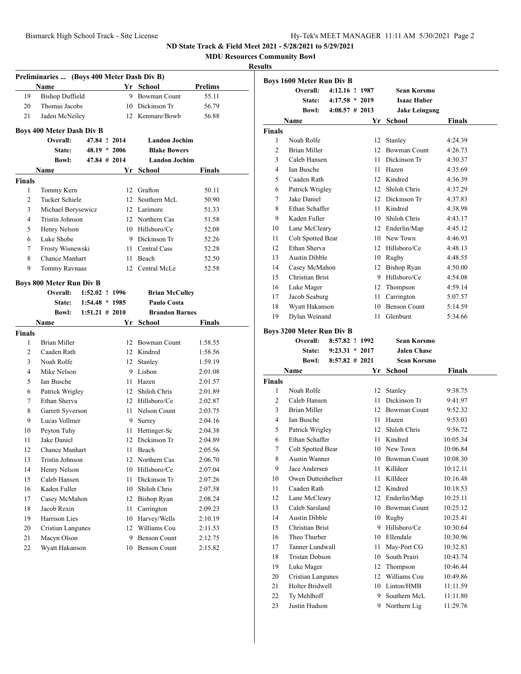**MDU Resources Community Bowl**

### **Results**

|                | Preliminaries  (Boys 400 Meter Dash Div B) |                   |    |                       |         |
|----------------|--------------------------------------------|-------------------|----|-----------------------|---------|
|                | Name                                       |                   |    | Yr School             | Prelims |
| 19             | <b>Bishop Duffield</b>                     |                   | 9  | <b>Bowman Count</b>   | 55.11   |
| 20             | Thomas Jacobs                              |                   |    | 10 Dickinson Tr       | 56.79   |
| 21             | Jaden McNeiley                             |                   |    | 12 Kenmare/Bowb       | 56.88   |
|                | <b>Boys 400 Meter Dash Div B</b>           |                   |    |                       |         |
|                | Overall:                                   | 47.84 ! 2014      |    | <b>Landon Jochim</b>  |         |
|                | State:                                     | $48.19 * 2006$    |    | <b>Blake Bowers</b>   |         |
|                | <b>Bowl:</b>                               | $47.84 \pm 2014$  |    | <b>Landon Jochim</b>  |         |
|                | Name                                       |                   | Yr | School                | Finals  |
| <b>Finals</b>  |                                            |                   |    |                       |         |
| 1              | Tommy Kern                                 |                   |    | 12 Grafton            | 50.11   |
| $\overline{c}$ | <b>Tucker Schiele</b>                      |                   |    | 12 Southern McL       | 50.90   |
| 3              | Michael Borysewicz                         |                   |    | 12 Larimore           | 51.33   |
| 4              | <b>Tristin Johnson</b>                     |                   |    | 12 Northern Cas       | 51.58   |
| 5              | Henry Nelson                               |                   |    | 10 Hillsboro/Ce       | 52.08   |
| 6              | Luke Shobe                                 |                   |    | 9 Dickinson Tr        | 52.26   |
| 7              | Frosty Wisnewski                           |                   | 11 | Central Cass          | 52.28   |
| 8              | Chance Manhart                             |                   |    | 11 Beach              | 52.50   |
| 9              | Tommy Ravnaas                              |                   |    | 12 Central McLe       | 52.58   |
|                |                                            |                   |    |                       |         |
|                | <b>Boys 800 Meter Run Div B</b>            |                   |    |                       |         |
|                | Overall:                                   | 1:52.02 ! 1996    |    | <b>Brian McCulley</b> |         |
|                | State:                                     | $1:54.48 * 1985$  |    | Paulo Costa           |         |
|                | <b>Bowl:</b>                               | $1:51.21 \# 2010$ |    | <b>Brandon Barnes</b> |         |
|                | Name                                       |                   | Yr | School                | Finals  |
|                |                                            |                   |    |                       |         |
| <b>Finals</b>  |                                            |                   |    |                       |         |
| 1              | <b>Brian Miller</b>                        |                   |    | 12 Bowman Count       | 1:58.55 |
| $\overline{2}$ | Caaden Rath                                |                   |    | 12 Kindred            | 1:58.56 |
| 3              | Noah Rolfe                                 |                   |    | 12 Stanley            | 1:59.19 |
| 4              | Mike Nelson                                |                   |    | 9 Lisbon              | 2:01.08 |
| 5              | Ian Busche                                 |                   | 11 | Hazen                 | 2:01.57 |
| 6              | Patrick Wrigley                            |                   |    | 12 Shiloh Chris       | 2:01.89 |
| 7              | Ethan Sherva                               |                   |    | 12 Hillsboro/Ce       | 2:02.87 |
| 8              | Garrett Syverson                           |                   |    | 11 Nelson Count       | 2:03.75 |
| 9              | Lucas Vollmer                              |                   |    | 9 Surrey              | 2:04.16 |
| 10             | Peyton Tuhy                                |                   | 11 | Hettinger-Sc          | 2:04.38 |
| 11             | Jake Daniel                                |                   |    | 12 Dickinson Tr       | 2:04.89 |
| 12             | <b>Chance Manhart</b>                      |                   | 11 | Beach                 | 2:05.56 |
| 13             | <b>Tristin Johnson</b>                     |                   | 12 | Northern Cas          | 2:06.70 |
| 14             | Henry Nelson                               |                   | 10 | Hillsboro/Ce          | 2:07.04 |
| 15             | Caleb Hansen                               |                   | 11 | Dickinson Tr          | 2:07.26 |
| 16             | Kaden Fuller                               |                   | 10 | Shiloh Chris          | 2:07.58 |
| 17             | Casey McMahon                              |                   | 12 | <b>Bishop Ryan</b>    | 2:08.24 |
| 18             | Jacob Rexin                                |                   | 11 | Carrington            | 2:09.23 |
| 19             | Harrison Lies                              |                   | 10 | Harvey/Wells          | 2:10.19 |
| 20             | <b>Cristian Langunes</b>                   |                   | 12 | Williams Cou          | 2:11.53 |
| 21             | Macyn Olson                                |                   | 9  | <b>Benson Count</b>   | 2:12.75 |

|                | <b>Boys 1600 Meter Run Div B</b>   |                                                        |    |                                                           |         |
|----------------|------------------------------------|--------------------------------------------------------|----|-----------------------------------------------------------|---------|
|                | Overall:<br>State:<br><b>Bowl:</b> | 4:12.16 ! 1987<br>$4:17.58 * 2019$<br>$4:08.57$ # 2013 |    | Sean Korsmo<br><b>Isaac Huber</b><br><b>Jake Leingang</b> |         |
|                | Name                               |                                                        | Yr | <b>School</b>                                             | Finals  |
| <b>Finals</b>  |                                    |                                                        |    |                                                           |         |
| 1              | Noah Rolfe                         |                                                        | 12 | Stanley                                                   | 4:24.39 |
| $\mathfrak{D}$ | <b>Brian Miller</b>                |                                                        | 12 | <b>Bowman Count</b>                                       | 4:26.73 |
| 3              | Caleb Hansen                       |                                                        | 11 | Dickinson Tr                                              | 4:30.37 |
| 4              | Ian Busche                         |                                                        | 11 | Hazen                                                     | 4:35.69 |
| 5              | Caaden Rath                        |                                                        | 12 | Kindred                                                   | 4:36.39 |
| 6              | Patrick Wrigley                    |                                                        | 12 | Shiloh Chris                                              | 4:37.29 |
| 7              | Jake Daniel                        |                                                        | 12 | Dickinson Tr                                              | 4:37.83 |
| 8              | Ethan Schaffer                     |                                                        | 11 | Kindred                                                   | 4:38.98 |
| 9              | Kaden Fuller                       |                                                        | 10 | Shiloh Chris                                              | 4:43.17 |
| 10             | Lane McCleary                      |                                                        | 12 | Enderlin/Map                                              | 4:45.12 |
| 11             | Colt Spotted Bear                  |                                                        | 10 | New Town                                                  | 4:46.93 |
| 12             | Ethan Sherva                       |                                                        | 12 | Hillsboro/Ce                                              | 4:48.13 |
| 13             | Austin Dibble                      |                                                        | 10 | Rugby                                                     | 4:48.55 |
| 14             | Casey McMahon                      |                                                        | 12 | <b>Bishop Ryan</b>                                        | 4:50.00 |
| 15             | Christian Brist                    |                                                        | 9  | Hillsboro/Ce                                              | 4:54.08 |
| 16             | Luke Mager                         |                                                        | 12 | Thompson                                                  | 4:59.14 |
| 17             | Jacob Seaburg                      |                                                        | 11 | Carrington                                                | 5:07.57 |
| 18             | Wyatt Hakanson                     |                                                        | 10 | <b>Benson Count</b>                                       | 5:14.59 |
| 19             | Dylan Weinand                      |                                                        | 11 | Glenburn                                                  | 5:34.66 |
|                |                                    |                                                        |    |                                                           |         |

# **Boys 3200 Meter Run Div B**

|                | Overall:              | 8:57.82 ! 1992    |    | Sean Korsmo         |          |
|----------------|-----------------------|-------------------|----|---------------------|----------|
|                | State:                | $9:23.31 * 2017$  |    | <b>Jalen Chase</b>  |          |
|                | <b>Bowl:</b>          | $8:57.82 \# 2021$ |    | <b>Sean Korsmo</b>  |          |
|                | <b>Name</b>           |                   | Yr | School              | Finals   |
| <b>Finals</b>  |                       |                   |    |                     |          |
| 1              | Noah Rolfe            |                   | 12 | Stanley             | 9:38.75  |
| $\overline{c}$ | Caleb Hansen          |                   | 11 | Dickinson Tr        | 9:41.97  |
| 3              | <b>Brian Miller</b>   |                   | 12 | <b>Bowman Count</b> | 9:52.32  |
| $\overline{4}$ | <b>Ian Busche</b>     |                   | 11 | Hazen               | 9:53.03  |
| 5              | Patrick Wrigley       |                   | 12 | Shiloh Chris        | 9:56.72  |
| 6              | Ethan Schaffer        |                   | 11 | Kindred             | 10:05.34 |
| 7              | Colt Spotted Bear     |                   |    | 10 New Town         | 10:06.84 |
| 8              | Austin Wanner         |                   |    | 10 Bowman Count     | 10:08.30 |
| 9              | Jace Andersen         |                   | 11 | Killdeer            | 10:12.11 |
| 10             | Owen Duttenhefner     |                   | 11 | Killdeer            | 10:16.48 |
| 11             | Caaden Rath           |                   | 12 | Kindred             | 10:18.53 |
| 12             | Lane McCleary         |                   | 12 | Enderlin/Map        | 10:25.11 |
| 13             | Caleb Sarsland        |                   | 10 | <b>Bowman Count</b> | 10:25.12 |
| 14             | Austin Dibble         |                   |    | 10 Rugby            | 10:25.41 |
| 15             | Christian Brist       |                   | 9  | Hillsboro/Ce        | 10:30.64 |
| 16             | Theo Thurber          |                   | 10 | Ellendale           | 10:30.96 |
| 17             | Tanner Lundwall       |                   | 11 | May-Port CG         | 10:32.83 |
| 18             | <b>Tristan Dobson</b> |                   | 10 | South Prairi        | 10:43.74 |
| 19             | Luke Mager            |                   | 12 | Thompson            | 10:46.44 |
| 20             | Cristian Langunes     |                   | 12 | Williams Cou        | 10:49.86 |
| 21             | Holter Bridwell       |                   | 10 | Linton/HMB          | 11:11.59 |
| 22             | Ty Mehlhoff           |                   | 9  | Southern McL        | 11:11.80 |
| 23             | Justin Hudson         |                   | 9  | Northern Lig        | 11:29.76 |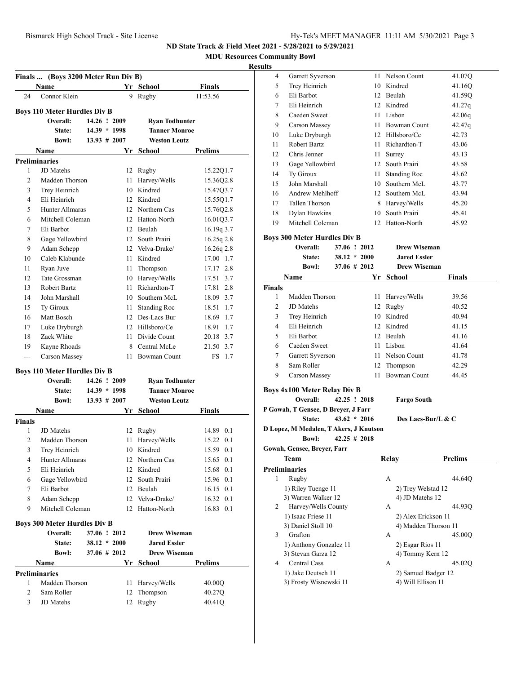**MDU Resources Community Bowl**

|                | Finals  (Boys 3200 Meter Run Div B)<br>Name     |                 |                | Yr School            | Finals         |
|----------------|-------------------------------------------------|-----------------|----------------|----------------------|----------------|
| 24             | Connor Klein                                    |                 | 9              | Rugby                | 11:53.56       |
|                |                                                 |                 |                |                      |                |
|                | <b>Boys 110 Meter Hurdles Div B</b><br>Overall: | 14.26 ! 2009    |                | Ryan Todhunter       |                |
|                | State:                                          |                 | $14.39 * 1998$ | <b>Tanner Monroe</b> |                |
|                | <b>Bowl:</b>                                    | $13.93 \# 2007$ |                | <b>Weston Leutz</b>  |                |
|                | Name                                            |                 | Yr             | School               | Prelims        |
|                | <b>Preliminaries</b>                            |                 |                |                      |                |
| 1              | JD Matehs                                       |                 |                | 12 Rugby             | 15.22Q1.7      |
| 2              | Madden Thorson                                  |                 |                | 11 Harvey/Wells      | 15.36Q2.8      |
| 3              | Trey Heinrich                                   |                 |                | 10 Kindred           | 15.4703.7      |
| 4              | Eli Heinrich                                    |                 |                | 12 Kindred           | 15.55Q1.7      |
| 5              | Hunter Allmaras                                 |                 |                | 12 Northern Cas      | 15.76Q2.8      |
| 6              | Mitchell Coleman                                |                 |                | 12 Hatton-North      | 16.01Q3.7      |
| 7              | Eli Barbot                                      |                 |                | 12 Beulah            | $16.19q$ 3.7   |
| 8              | Gage Yellowbird                                 |                 |                | 12 South Prairi      | $16.25q$ 2.8   |
| 9              | Adam Schepp                                     |                 |                | 12 Velva-Drake/      | 16.26q 2.8     |
| 10             | Caleb Klabunde                                  |                 |                | 11 Kindred           | 17.00 1.7      |
| 11             | Ryan Juve                                       |                 |                | 11 Thompson          | 17.17 2.8      |
| 12             | Tate Grossman                                   |                 |                | 10 Harvey/Wells      | 17.51 3.7      |
| 13             | <b>Robert Bartz</b>                             |                 |                | 11 Richardton-T      | 17.81 2.8      |
| 14             | John Marshall                                   |                 |                | 10 Southern McL      | 18.09 3.7      |
| 15             | Ty Giroux                                       |                 |                | 11 Standing Roc      | 18.51 1.7      |
| 16             | Matt Bosch                                      |                 |                | 12 Des-Lacs Bur      | 18.69 1.7      |
| 17             | Luke Dryburgh                                   |                 |                | 12 Hillsboro/Ce      | 18.91 1.7      |
| 18             | Zack White                                      |                 | 11             | Divide Count         | 20.18 3.7      |
| 19             | Kayne Rhoads                                    |                 |                | 8 Central McLe       | 21.50 3.7      |
| ---            | Carson Massey                                   |                 | 11.            | Bowman Count         | FS<br>1.7      |
|                |                                                 |                 |                |                      |                |
|                | <b>Boys 110 Meter Hurdles Div B</b>             |                 |                |                      |                |
|                | Overall:                                        | 14.26 ! 2009    |                | Ryan Todhunter       |                |
|                | <b>State:</b>                                   | $14.39 * 1998$  |                | <b>Tanner Monroe</b> |                |
|                | <b>Bowl:</b>                                    | $13.93 \# 2007$ |                | <b>Weston Leutz</b>  |                |
|                | Name                                            |                 | Yr             | School               | Finals         |
| <b>Finals</b>  |                                                 |                 |                |                      |                |
| 1              | JD Matehs                                       |                 |                | 12 Rugby             | 14.89 0.1      |
| 2              | Madden Thorson                                  |                 | 11             | Harvey/Wells         | 15.22<br>0.1   |
| 3              | Trey Heinrich                                   |                 |                | 10 Kindred           | 15.59<br>0.1   |
| 4              | Hunter Allmaras                                 |                 |                | 12 Northern Cas      | 15.65<br>0.1   |
| 5              | Eli Heinrich                                    |                 |                | 12 Kindred           | 15.68 0.1      |
| 6              | Gage Yellowbird                                 |                 |                | 12 South Prairi      | 15.96 0.1      |
| 7              | Eli Barbot                                      |                 |                | 12 Beulah            | 16.15 0.1      |
| 8              | Adam Schepp                                     |                 |                | 12 Velva-Drake/      | 16.32 0.1      |
| 9              | Mitchell Coleman                                |                 |                | 12 Hatton-North      | 16.83<br>0.1   |
|                | <b>Boys 300 Meter Hurdles Div B</b>             |                 |                |                      |                |
|                | Overall:                                        | 37.06 ! 2012    |                | <b>Drew Wiseman</b>  |                |
|                | State:                                          |                 | $38.12 * 2000$ | <b>Jared Essler</b>  |                |
|                | <b>Bowl:</b>                                    | 37.06 # 2012    |                | <b>Drew Wiseman</b>  |                |
|                | <b>Name</b>                                     |                 | Yr             | School               | <b>Prelims</b> |
|                | <b>Preliminaries</b>                            |                 |                |                      |                |
| 1              | Madden Thorson                                  |                 | 11             | Harvey/Wells         | 40.00Q         |
| $\overline{2}$ | Sam Roller                                      |                 | 12             | Thompson             | 40.27Q         |
| 3              | JD Matehs                                       |                 | 12             | Rugby                | 40.41Q         |
|                |                                                 |                 |                |                      |                |

| 4      | <b>Garrett Syverson</b>                |                 | 11 | Nelson Count                 | 41.07Q         |
|--------|----------------------------------------|-----------------|----|------------------------------|----------------|
| 5      | Trey Heinrich                          |                 |    | 10 Kindred                   | 41.16Q         |
| 6      | Eli Barbot                             |                 |    | 12 Beulah                    | 41.59Q         |
| 7      | Eli Heinrich                           |                 |    | 12 Kindred                   | 41.27q         |
| 8      | Caeden Sweet                           |                 |    | 11 Lisbon                    | 42.06q         |
| 9      | Carson Massey                          |                 |    | 11 Bowman Count              | 42.47q         |
|        |                                        |                 |    | 12 Hillsboro/Ce              |                |
| 10     | Luke Dryburgh<br>Robert Bartz          |                 |    | 11 Richardton-T              | 42.73          |
| 11     |                                        |                 |    |                              | 43.06          |
| 12     | Chris Jenner                           |                 |    | 11 Surrey<br>12 South Prairi | 43.13          |
| 13     | Gage Yellowbird                        |                 |    |                              | 43.58          |
| 14     | Ty Giroux                              |                 |    | 11 Standing Roc              | 43.62          |
| 15     | John Marshall                          |                 |    | 10 Southern McL              | 43.77          |
| 16     | Andrew Mehlhoff                        |                 |    | 12 Southern McL              | 43.94          |
| 17     | Tallen Thorson                         |                 |    | 8 Harvey/Wells               | 45.20          |
| 18     | Dylan Hawkins                          |                 |    | 10 South Prairi              | 45.41          |
| 19     | Mitchell Coleman                       |                 |    | 12 Hatton-North              | 45.92          |
|        | <b>Boys 300 Meter Hurdles Div B</b>    |                 |    |                              |                |
|        | Overall:                               | 37.06 ! 2012    |    | <b>Drew Wiseman</b>          |                |
|        | <b>State:</b>                          | $38.12 * 2000$  |    | <b>Jared Essler</b>          |                |
|        | <b>Bowl:</b>                           | $37.06 \# 2012$ |    | <b>Drew Wiseman</b>          |                |
|        | Name                                   |                 | Yr | <b>School</b>                | Finals         |
| Finals |                                        |                 |    |                              |                |
| 1      | Madden Thorson                         |                 |    | 11 Harvey/Wells              | 39.56          |
| 2      | JD Matehs                              |                 |    | 12 Rugby                     | 40.52          |
| 3      | Trey Heinrich                          |                 |    | 10 Kindred                   | 40.94          |
| 4      | Eli Heinrich                           |                 |    | 12 Kindred                   | 41.15          |
| 5      | Eli Barbot                             |                 |    | 12 Beulah                    | 41.16          |
| 6      | Caeden Sweet                           |                 |    | 11 Lisbon                    | 41.64          |
| 7      | Garrett Syverson                       |                 |    | 11 Nelson Count              | 41.78          |
| 8      | Sam Roller                             |                 |    | 12 Thompson                  | 42.29          |
| 9      | Carson Massey                          |                 | 11 | Bowman Count                 | 44.45          |
|        |                                        |                 |    |                              |                |
|        | <b>Boys 4x100 Meter Relay Div B</b>    |                 |    |                              |                |
|        | Overall:                               | 42.25 ! 2018    |    | <b>Fargo South</b>           |                |
|        | P Gowah, T Gensee, D Breyer, J Farr    |                 |    |                              |                |
|        | State:                                 | $43.62 * 2016$  |    | Des Lacs-Bur/L & C           |                |
|        | D Lopez, M Medalen, T Akers, J Knutson |                 |    |                              |                |
|        | <b>Bowl:</b>                           | $42.25 \# 2018$ |    |                              |                |
|        | Gowah, Gensee, Breyer, Farr            |                 |    |                              |                |
|        | Team                                   |                 |    | <b>Relay</b>                 | <b>Prelims</b> |
|        | Preliminaries                          |                 |    |                              |                |
| 1      | Rugby                                  |                 |    | А                            | 44.64Q         |
|        | 1) Riley Tuenge 11                     |                 |    | 2) Trey Welstad 12           |                |
|        | 3) Warren Walker 12                    |                 |    | 4) JD Matehs 12              |                |
| 2      | Harvey/Wells County                    |                 |    | А                            | 44.93Q         |
|        | 1) Isaac Friese 11                     |                 |    | 2) Alex Erickson 11          |                |
|        | 3) Daniel Stoll 10                     |                 |    | 4) Madden Thorson 11         |                |
| 3      | Grafton                                |                 |    | А                            | 45.00Q         |
|        | 1) Anthony Gonzalez 11                 |                 |    | 2) Esgar Rios 11             |                |
|        | 3) Stevan Garza 12                     |                 |    | 4) Tommy Kern 12             |                |
| 4      | Central Cass                           |                 |    | А                            | 45.02Q         |
|        |                                        |                 |    |                              |                |
|        | 1) Jake Deutsch 11                     |                 |    | 2) Samuel Badger 12          |                |
|        | 3) Frosty Wisnewski 11                 |                 |    | 4) Will Ellison 11           |                |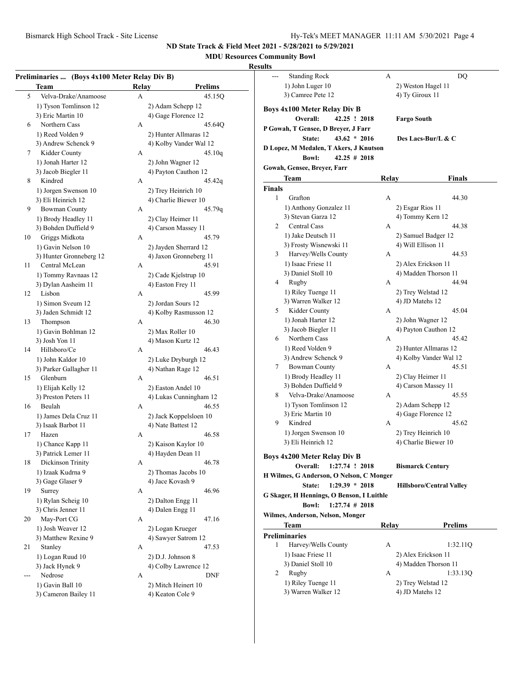# **MDU Resources Community Bowl**

### **Res**

|       | Team                    | Relay | <b>Prelims</b>         |
|-------|-------------------------|-------|------------------------|
| 5     | Velva-Drake/Anamoose    | А     | 45.15Q                 |
|       | 1) Tyson Tomlinson 12   |       | 2) Adam Schepp 12      |
|       | 3) Eric Martin 10       |       | 4) Gage Florence 12    |
| 6     | Northern Cass           | А     | 45.64Q                 |
|       | 1) Reed Volden 9        |       | 2) Hunter Allmaras 12  |
|       | 3) Andrew Schenck 9     |       | 4) Kolby Vander Wal 12 |
| 7     | Kidder County           | А     | 45.10q                 |
|       | 1) Jonah Harter 12      |       | 2) John Wagner 12      |
|       | 3) Jacob Biegler 11     |       | 4) Payton Cauthon 12   |
| 8     | Kindred                 | А     | 45.42q                 |
|       | 1) Jorgen Swenson 10    |       | 2) Trey Heinrich 10    |
|       | 3) Eli Heinrich 12      |       | 4) Charlie Biewer 10   |
| 9     | <b>Bowman County</b>    | А     | 45.79q                 |
|       | 1) Brody Headley 11     |       |                        |
|       |                         |       | 2) Clay Heimer 11      |
|       | 3) Bohden Duffield 9    |       | 4) Carson Massey 11    |
| 10    | Griggs Midkota          | А     | 45.79                  |
|       | 1) Gavin Nelson 10      |       | 2) Jayden Sherrard 12  |
|       | 3) Hunter Gronneberg 12 |       | 4) Jaxon Gronneberg 11 |
| 11    | Central McLean          | А     | 45.91                  |
|       | 1) Tommy Ravnaas 12     |       | 2) Cade Kjelstrup 10   |
|       | 3) Dylan Aasheim 11     |       | 4) Easton Frey 11      |
| 12    | Lisbon                  | А     | 45.99                  |
|       | 1) Simon Sveum 12       |       | 2) Jordan Sours 12     |
|       | 3) Jaden Schmidt 12     |       | 4) Kolby Rasmusson 12  |
| 13    | Thompson                | А     | 46.30                  |
|       | 1) Gavin Bohlman 12     |       | 2) Max Roller 10       |
|       | 3) Josh Yon 11          |       | 4) Mason Kurtz 12      |
| 14    | Hillsboro/Ce            | A     | 46.43                  |
|       | 1) John Kaldor 10       |       | 2) Luke Dryburgh 12    |
|       | 3) Parker Gallagher 11  |       | 4) Nathan Rage 12      |
| 15    | Glenburn                | А     | 46.51                  |
|       | 1) Elijah Kelly 12      |       | 2) Easton Andel 10     |
|       | 3) Preston Peters 11    |       | 4) Lukas Cunningham 12 |
| 16    | Beulah                  | А     | 46.55                  |
|       | 1) James Dela Cruz 11   |       | 2) Jack Koppelsloen 10 |
|       | 3) Isaak Barbot 11      |       | 4) Nate Battest 12     |
| 17    | Hazen                   | А     | 46.58                  |
|       |                         |       |                        |
|       | 1) Chance Kapp 11       |       | 2) Kaison Kaylor 10    |
|       | 3) Patrick Lemer 11     |       | 4) Hayden Dean 11      |
| 18    | Dickinson Trinity       | А     | 46.78                  |
|       | 1) Izaak Kudrna 9       |       | 2) Thomas Jacobs 10    |
|       | 3) Gage Glaser 9        |       | 4) Jace Kovash 9       |
| 19    | Surrey                  | А     | 46.96                  |
|       | 1) Rylan Scheig 10      |       | 2) Dalton Engg 11      |
|       | 3) Chris Jenner 11      |       | 4) Dalen Engg 11       |
| 20    | May-Port CG             | А     | 47.16                  |
|       | 1) Josh Weaver 12       |       | 2) Logan Krueger       |
|       | 3) Matthew Rexine 9     |       | 4) Sawyer Satrom 12    |
| 21    | Stanley                 | А     | 47.53                  |
|       | 1) Logan Ruud 10        |       | 2) D.J. Johnson 8      |
|       | 3) Jack Hynek 9         |       | 4) Colby Lawrence 12   |
| $---$ | Nedrose                 | А     | DNF                    |
|       |                         |       |                        |
|       | 1) Gavin Ball 10        |       | 2) Mitch Heinert 10    |

| ults          |                                                            |       |                                 |
|---------------|------------------------------------------------------------|-------|---------------------------------|
|               | <b>Standing Rock</b>                                       | А     | DQ                              |
|               | 1) John Luger 10                                           |       | 2) Weston Hagel 11              |
|               | 3) Camree Pete 12                                          |       | 4) Ty Giroux 11                 |
|               |                                                            |       |                                 |
|               | <b>Boys 4x100 Meter Relay Div B</b>                        |       |                                 |
|               | Overall:<br>42.25 ! 2018                                   |       | <b>Fargo South</b>              |
|               | P Gowah, T Gensee, D Breyer, J Farr                        |       |                                 |
|               | State:<br>$43.62 * 2016$                                   |       | Des Lacs-Bur/L & C              |
|               | D Lopez, M Medalen, T Akers, J Knutson                     |       |                                 |
|               | $42.25 \# 2018$<br><b>Bowl:</b>                            |       |                                 |
|               | Gowah, Gensee, Breyer, Farr                                |       |                                 |
|               | Team                                                       | Relay | <b>Finals</b>                   |
| <b>Finals</b> |                                                            |       |                                 |
| $\mathbf{1}$  | Grafton                                                    | А     | 44.30                           |
|               | 1) Anthony Gonzalez 11                                     |       | 2) Esgar Rios 11                |
|               | 3) Stevan Garza 12                                         |       | 4) Tommy Kern 12                |
| 2             | <b>Central Cass</b>                                        | А     | 44.38                           |
|               | 1) Jake Deutsch 11                                         |       | 2) Samuel Badger 12             |
|               | 3) Frosty Wisnewski 11                                     |       | 4) Will Ellison 11              |
| 3             | Harvey/Wells County                                        | А     | 44.53                           |
|               | 1) Isaac Friese 11                                         |       | 2) Alex Erickson 11             |
|               | 3) Daniel Stoll 10                                         |       | 4) Madden Thorson 11            |
| 4             | Rugby                                                      | А     | 44.94                           |
|               | 1) Riley Tuenge 11                                         |       | 2) Trey Welstad 12              |
|               | 3) Warren Walker 12                                        |       | 4) JD Matehs 12                 |
| 5             | Kidder County                                              | А     | 45.04                           |
|               | 1) Jonah Harter 12                                         |       | 2) John Wagner 12               |
|               | 3) Jacob Biegler 11                                        |       | 4) Payton Cauthon 12            |
| 6             | Northern Cass                                              | А     | 45.42                           |
|               | 1) Reed Volden 9                                           |       | 2) Hunter Allmaras 12           |
|               | 3) Andrew Schenck 9                                        |       | 4) Kolby Vander Wal 12          |
| 7             | <b>Bowman County</b>                                       | А     | 45.51                           |
|               | 1) Brody Headley 11                                        |       | 2) Clay Heimer 11               |
|               | 3) Bohden Duffield 9                                       |       | 4) Carson Massey 11             |
| 8             | Velva-Drake/Anamoose                                       | А     | 45.55                           |
|               | 1) Tyson Tomlinson 12                                      |       | 2) Adam Schepp 12               |
|               | 3) Eric Martin 10                                          |       | 4) Gage Florence 12             |
| 9             | Kindred                                                    | А     | 45.62                           |
|               | 1) Jorgen Swenson 10                                       |       | 2) Trey Heinrich 10             |
|               | 3) Eli Heinrich 12                                         |       | 4) Charlie Biewer 10            |
|               |                                                            |       |                                 |
|               | Boys 4x200 Meter Relay Div B<br>Overall:<br>1:27.74 ! 2018 |       |                                 |
|               |                                                            |       | <b>Bismarck Century</b>         |
|               | H Wilmes, G Anderson, O Nelson, C Monger                   |       |                                 |
|               | $1:29.39 * 2018$<br>State:                                 |       | <b>Hillsboro/Central Valley</b> |
|               | G Skager, H Hennings, O Benson, I Luithle                  |       |                                 |
|               | $1:27.74$ # 2018<br><b>Bowl:</b>                           |       |                                 |
|               | Wilmes, Anderson, Nelson, Monger                           |       |                                 |
|               | Team                                                       | Relay | <b>Prelims</b>                  |
|               | <b>Preliminaries</b>                                       |       |                                 |
| 1             | Harvey/Wells County                                        | A     | 1:32.11Q                        |
|               | 1) Isaac Friese 11                                         |       | 2) Alex Erickson 11             |
|               | 3) Daniel Stoll 10                                         |       | 4) Madden Thorson 11            |
| 2             | Rugby                                                      | А     | 1:33.13Q                        |
|               | 1) Riley Tuenge 11                                         |       | 2) Trey Welstad 12              |
|               | 3) Warren Walker 12                                        |       | 4) JD Matehs 12                 |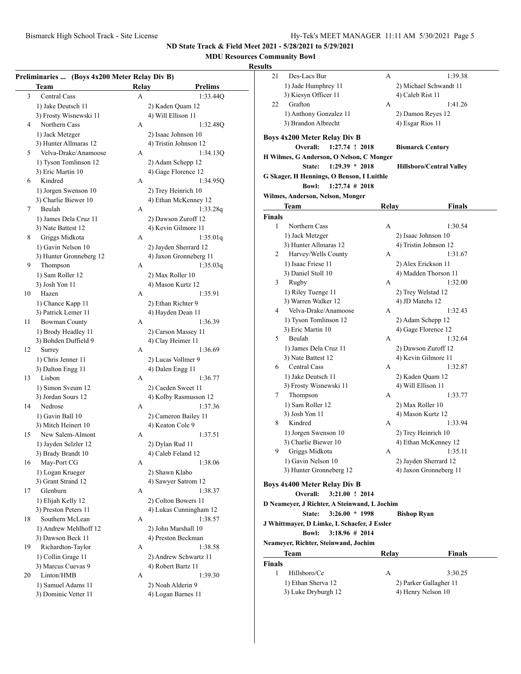# **MDU Resources Community Bowl**

|    | Preliminaries  (Boys 4x200 Meter Relay Div B)<br>Team | Relay | <b>Prelims</b>                          |
|----|-------------------------------------------------------|-------|-----------------------------------------|
| 3  | Central Cass                                          | А     | 1:33.44Q                                |
|    | 1) Jake Deutsch 11                                    |       | 2) Kaden Quam 12                        |
|    | 3) Frosty Wisnewski 11                                |       | 4) Will Ellison 11                      |
| 4  | Northern Cass                                         | А     | 1:32.48Q                                |
|    | 1) Jack Metzger                                       |       | 2) Isaac Johnson 10                     |
|    | 3) Hunter Allmaras 12                                 |       | 4) Tristin Johnson 12                   |
| 5  | Velva-Drake/Anamoose                                  | А     | 1:34.13Q                                |
|    |                                                       |       |                                         |
|    | 1) Tyson Tomlinson 12                                 |       | 2) Adam Schepp 12                       |
|    | 3) Eric Martin 10                                     |       | 4) Gage Florence 12                     |
| 6  | Kindred                                               | А     | 1:34.95Q                                |
|    | 1) Jorgen Swenson 10                                  |       | 2) Trey Heinrich 10                     |
|    | 3) Charlie Biewer 10                                  |       | 4) Ethan McKenney 12                    |
| 7  | Beulah                                                | А     | 1:33.28q                                |
|    | 1) James Dela Cruz 11                                 |       | 2) Dawson Zuroff 12                     |
|    | 3) Nate Battest 12                                    |       | 4) Kevin Gilmore 11                     |
| 8  | Griggs Midkota                                        | А     | 1:35.01q                                |
|    | 1) Gavin Nelson 10                                    |       | 2) Jayden Sherrard 12                   |
|    | 3) Hunter Gronneberg 12                               |       | 4) Jaxon Gronneberg 11                  |
| 9  | Thompson                                              | А     | 1:35.03q                                |
|    | 1) Sam Roller 12                                      |       | 2) Max Roller 10                        |
|    | 3) Josh Yon 11                                        |       | 4) Mason Kurtz 12                       |
| 10 | Hazen                                                 | А     | 1:35.91                                 |
|    |                                                       |       |                                         |
|    | 1) Chance Kapp 11                                     |       | 2) Ethan Richter 9                      |
|    | 3) Patrick Lemer 11                                   |       | 4) Hayden Dean 11                       |
| 11 | <b>Bowman County</b>                                  | А     | 1:36.39                                 |
|    | 1) Brody Headley 11                                   |       | 2) Carson Massey 11                     |
|    | 3) Bohden Duffield 9                                  |       | 4) Clay Heimer 11                       |
| 12 | Surrey                                                | А     | 1:36.69                                 |
|    | 1) Chris Jenner 11                                    |       | 2) Lucas Vollmer 9                      |
|    | 3) Dalton Engg 11                                     |       | 4) Dalen Engg 11                        |
| 13 | Lisbon                                                | А     | 1:36.77                                 |
|    | 1) Simon Sveum 12                                     |       | 2) Caeden Sweet 11                      |
|    | 3) Jordan Sours 12                                    |       | 4) Kolby Rasmusson 12                   |
| 14 | Nedrose                                               | А     | 1:37.36                                 |
|    | 1) Gavin Ball 10                                      |       | 2) Cameron Bailey 11                    |
|    | 3) Mitch Heinert 10                                   |       | 4) Keaton Cole 9                        |
| 15 | New Salem-Almont                                      | А     | 1:37.51                                 |
|    | 1) Jayden Selzler 12                                  |       | 2) Dylan Rud 11                         |
|    |                                                       |       |                                         |
|    | 3) Brady Brandt 10                                    |       | 4) Caleb Feland 12                      |
| 16 | May-Port CG                                           | A     | 1:38.06                                 |
|    | 1) Logan Krueger                                      |       | 2) Shawn Klabo                          |
|    | 3) Grant Strand 12                                    |       | 4) Sawyer Satrom 12                     |
| 17 | Glenburn                                              | А     | 1:38.37                                 |
|    | 1) Elijah Kelly 12                                    |       | 2) Colton Bowers 11                     |
|    | 3) Preston Peters 11                                  |       | 4) Lukas Cunningham 12                  |
| 18 | Southern McLean                                       | А     | 1:38.57                                 |
|    | 1) Andrew Mehlhoff 12                                 |       | 2) John Marshall 10                     |
|    | 3) Dawson Beck 11                                     |       | 4) Preston Beckman                      |
| 19 | Richardton-Taylor                                     | А     | 1:38.58                                 |
|    | 1) Collin Grage 11                                    |       | 2) Andrew Schwartz 11                   |
|    | 3) Marcus Cuevas 9                                    |       | 4) Robert Bartz 11                      |
| 20 | Linton/HMB                                            | А     | 1:39.30                                 |
|    |                                                       |       |                                         |
|    | 1) Samuel Adams 11<br>3) Dominic Vetter 11            |       | 2) Noah Alderin 9<br>4) Logan Barnes 11 |
|    |                                                       |       |                                         |

| 21            | Des-Lacs Bur                                 | А     | 1:39.38                         |
|---------------|----------------------------------------------|-------|---------------------------------|
|               | 1) Jade Humphrey 11                          |       | 2) Michael Schwandt 11          |
|               | 3) Kiesyn Officer 11                         |       | 4) Caleb Rist 11                |
| 22            | Grafton                                      | А     | 1:41.26                         |
|               | 1) Anthony Gonzalez 11                       |       | 2) Damon Reyes 12               |
|               | 3) Brandon Albrecht                          |       | 4) Esgar Rios 11                |
|               |                                              |       |                                 |
|               | <b>Boys 4x200 Meter Relay Div B</b>          |       |                                 |
|               | Overall:<br>1:27.74 ! 2018                   |       | <b>Bismarck Century</b>         |
|               | H Wilmes, G Anderson, O Nelson, C Monger     |       |                                 |
|               | State:<br>$1:29.39 * 2018$                   |       | <b>Hillsboro/Central Valley</b> |
|               | G Skager, H Hennings, O Benson, I Luithle    |       |                                 |
|               | $1:27.74$ # 2018<br><b>Bowl:</b>             |       |                                 |
|               | Wilmes, Anderson, Nelson, Monger             |       |                                 |
|               | Team                                         | Relay | <b>Finals</b>                   |
| <b>Finals</b> |                                              |       |                                 |
| 1             | Northern Cass                                | А     | 1:30.54                         |
|               | 1) Jack Metzger                              |       | 2) Isaac Johnson 10             |
|               | 3) Hunter Allmaras 12                        |       | 4) Tristin Johnson 12           |
| 2             | Harvey/Wells County                          | А     | 1:31.67                         |
|               | 1) Isaac Friese 11                           |       | 2) Alex Erickson 11             |
|               | 3) Daniel Stoll 10                           |       | 4) Madden Thorson 11            |
| 3             | Rugby                                        | А     | 1:32.00                         |
|               | 1) Riley Tuenge 11                           |       | 2) Trey Welstad 12              |
|               | 3) Warren Walker 12                          |       | 4) JD Matehs 12                 |
| 4             | Velva-Drake/Anamoose                         | А     | 1:32.43                         |
|               | 1) Tyson Tomlinson 12                        |       | 2) Adam Schepp 12               |
|               | 3) Eric Martin 10                            |       | 4) Gage Florence 12             |
| 5             | Beulah                                       | А     | 1:32.64                         |
|               | 1) James Dela Cruz 11                        |       | 2) Dawson Zuroff 12             |
|               | 3) Nate Battest 12                           |       | 4) Kevin Gilmore 11             |
| 6             | Central Cass                                 | А     | 1:32.87                         |
|               | 1) Jake Deutsch 11                           |       | 2) Kaden Quam 12                |
|               | 3) Frosty Wisnewski 11                       |       | 4) Will Ellison 11              |
| 7             | Thompson                                     | А     | 1:33.77                         |
|               | 1) Sam Roller 12                             |       | 2) Max Roller 10                |
|               | 3) Josh Yon 11                               |       | 4) Mason Kurtz 12               |
| 8             | Kindred                                      | А     | 1:33.94                         |
|               | 1) Jorgen Swenson 10                         |       | 2) Trey Heinrich 10             |
|               | 3) Charlie Biewer 10                         |       | 4) Ethan McKenney 12            |
| 9             | Griggs Midkota                               |       | 1:35.11                         |
|               | 1) Gavin Nelson 10                           |       | 2) Jayden Sherrard 12           |
|               | 3) Hunter Gronneberg 12                      |       | 4) Jaxon Gronneberg 11          |
|               | <b>Boys 4x400 Meter Relay Div B</b>          |       |                                 |
|               | 3:21.00 ! 2014<br>Overall:                   |       |                                 |
|               | D Neameyer, J Richter, A Steinwand, L Jochim |       |                                 |
|               | $3:26.00 * 1998$<br>State:                   |       | <b>Bishop Ryan</b>              |
|               | J Whittmayer, D Limke, L Schaefer, J Essler  |       |                                 |
|               | <b>Bowl:</b><br>$3:18.96 \# 2014$            |       |                                 |
|               | Neameyer, Richter, Steinwand, Jochim         |       |                                 |
|               | Team                                         | Relay | <b>Finals</b>                   |
| Finals        |                                              |       |                                 |
| 1             | Hillsboro/Ce                                 | А     | 3:30.25                         |
|               | 1) Ethan Sherva 12                           |       | 2) Parker Gallagher 11          |
|               | 3) Luke Dryburgh 12                          |       | 4) Henry Nelson 10              |
|               |                                              |       |                                 |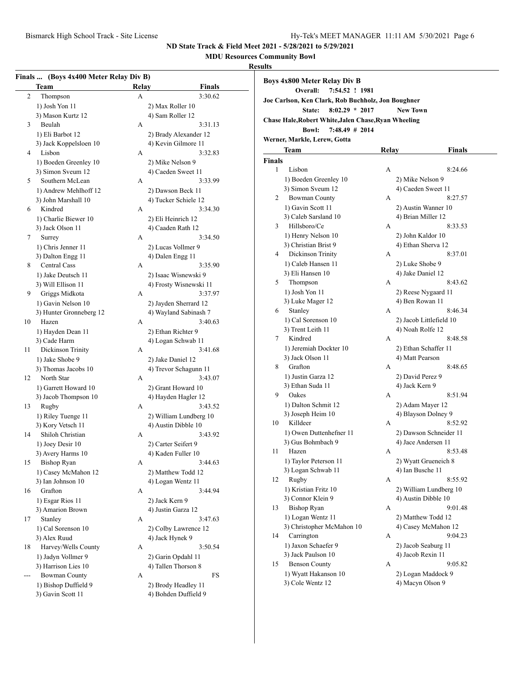**MDU Resources Community Bowl**

|                | Finals  (Boys 4x400 Meter Relay Div B)<br><b>Team</b> | Relay | <b>Finals</b>          |
|----------------|-------------------------------------------------------|-------|------------------------|
| $\overline{2}$ | Thompson                                              | А     | 3:30.62                |
|                | 1) Josh Yon 11                                        |       | 2) Max Roller 10       |
|                | 3) Mason Kurtz 12                                     |       | 4) Sam Roller 12       |
| 3              | Beulah                                                | А     | 3:31.13                |
|                | 1) Eli Barbot 12                                      |       | 2) Brady Alexander 12  |
|                | 3) Jack Koppelsloen 10                                |       | 4) Kevin Gilmore 11    |
| 4              | Lisbon                                                | A     | 3:32.83                |
|                | 1) Boeden Greenley 10                                 |       | 2) Mike Nelson 9       |
|                | 3) Simon Sveum 12                                     |       | 4) Caeden Sweet 11     |
| 5              | Southern McLean                                       | А     | 3:33.99                |
|                | 1) Andrew Mehlhoff 12                                 |       | 2) Dawson Beck 11      |
|                | 3) John Marshall 10                                   |       | 4) Tucker Schiele 12   |
| 6              | Kindred                                               | А     | 3:34.30                |
|                | 1) Charlie Biewer 10                                  |       | 2) Eli Heinrich 12     |
|                | 3) Jack Olson 11                                      |       | 4) Caaden Rath 12      |
| 7              | Surrey                                                | А     | 3:34.50                |
|                | 1) Chris Jenner 11                                    |       | 2) Lucas Vollmer 9     |
|                | 3) Dalton Engg 11                                     |       | 4) Dalen Engg 11       |
| 8              | <b>Central Cass</b>                                   | A     | 3:35.90                |
|                |                                                       |       |                        |
|                | 1) Jake Deutsch 11                                    |       | 2) Isaac Wisnewski 9   |
| 9              | 3) Will Ellison 11<br>Griggs Midkota                  |       | 4) Frosty Wisnewski 11 |
|                |                                                       | А     | 3:37.97                |
|                | 1) Gavin Nelson 10                                    |       | 2) Jayden Sherrard 12  |
|                | 3) Hunter Gronneberg 12                               |       | 4) Wayland Sabinash 7  |
| 10             | Hazen                                                 | А     | 3:40.63                |
|                | 1) Hayden Dean 11                                     |       | 2) Ethan Richter 9     |
|                | 3) Cade Harm                                          |       | 4) Logan Schwab 11     |
| 11             | Dickinson Trinity                                     | А     | 3:41.68                |
|                | 1) Jake Shobe 9                                       |       | 2) Jake Daniel 12      |
|                | 3) Thomas Jacobs 10<br>North Star                     |       | 4) Trevor Schagunn 11  |
| 12             |                                                       | А     | 3:43.07                |
|                | 1) Garrett Howard 10                                  |       | 2) Grant Howard 10     |
|                | 3) Jacob Thompson 10                                  |       | 4) Hayden Hagler 12    |
| 13             | Rugby                                                 | А     | 3:43.52                |
|                | 1) Riley Tuenge 11                                    |       | 2) William Lundberg 10 |
|                | 3) Kory Vetsch 11                                     |       | 4) Austin Dibble 10    |
| 14             | Shiloh Christian                                      | А     | 3:43.92                |
|                | 1) Joey Desir 10                                      |       | 2) Carter Seifert 9    |
|                | 3) Avery Harms 10                                     |       | 4) Kaden Fuller 10     |
| 15             | <b>Bishop Ryan</b>                                    | А     | 3:44.63                |
|                | 1) Casey McMahon 12                                   |       | 2) Matthew Todd 12     |
|                | 3) Ian Johnson 10                                     |       | 4) Logan Wentz 11      |
| 16             | Grafton                                               | А     | 3:44.94                |
|                | 1) Esgar Rios 11                                      |       | 2) Jack Kern 9         |
|                | 3) Amarion Brown                                      |       | 4) Justin Garza 12     |
| 17             | Stanley                                               | А     | 3:47.63                |
|                | 1) Cal Sorenson 10                                    |       | 2) Colby Lawrence 12   |
|                | 3) Alex Ruud                                          |       | 4) Jack Hynek 9        |
| 18             | Harvey/Wells County                                   | А     | 3:50.54                |
|                | 1) Jadyn Vollmer 9                                    |       | 2) Garin Opdahl 11     |
|                | 3) Harrison Lies 10                                   |       | 4) Tallen Thorson 8    |
| ---            | <b>Bowman County</b>                                  | А     | FS                     |
|                | 1) Bishop Duffield 9                                  |       | 2) Brody Headley 11    |
|                | 3) Gavin Scott 11                                     |       | 4) Bohden Duffield 9   |

|               | <b>Boys 4x800 Meter Relay Div B</b><br>7:54.52 ! 1981<br>Overall: |       |                                         |
|---------------|-------------------------------------------------------------------|-------|-----------------------------------------|
|               | Joe Carlson, Ken Clark, Rob Buchholz, Jon Boughner                |       |                                         |
|               | $8:02.29 * 2017$<br><b>State:</b>                                 |       | <b>New Town</b>                         |
|               | Chase Hale, Robert White, Jalen Chase, Ryan Wheeling              |       |                                         |
|               | 7:48.49 # 2014<br><b>Bowl:</b>                                    |       |                                         |
|               | Werner, Markle, Lerew, Gotta                                      |       |                                         |
|               | Team                                                              | Relay | Finals                                  |
| <b>Finals</b> |                                                                   |       |                                         |
| 1             | Lisbon                                                            | А     | 8:24.66                                 |
|               | 1) Boeden Greenley 10                                             |       |                                         |
|               | 3) Simon Sveum 12                                                 |       | 2) Mike Nelson 9<br>4) Caeden Sweet 11  |
| 2             | <b>Bowman County</b>                                              | А     | 8:27.57                                 |
|               | 1) Gavin Scott 11                                                 |       |                                         |
|               | 3) Caleb Sarsland 10                                              |       | 2) Austin Wanner 10                     |
| 3             | Hillsboro/Ce                                                      | А     | 4) Brian Miller 12<br>8:33.53           |
|               |                                                                   |       |                                         |
|               | 1) Henry Nelson 10<br>3) Christian Brist 9                        |       | 2) John Kaldor 10<br>4) Ethan Sherva 12 |
| 4             | Dickinson Trinity                                                 | A     | 8:37.01                                 |
|               | 1) Caleb Hansen 11                                                |       | 2) Luke Shobe 9                         |
|               | 3) Eli Hansen 10                                                  |       | 4) Jake Daniel 12                       |
| 5             | Thompson                                                          | А     | 8:43.62                                 |
|               | 1) Josh Yon 11                                                    |       | 2) Reese Nygaard 11                     |
|               | 3) Luke Mager 12                                                  |       | 4) Ben Rowan 11                         |
| 6             | Stanley                                                           | А     | 8:46.34                                 |
|               | 1) Cal Sorenson 10                                                |       | 2) Jacob Littlefield 10                 |
|               | 3) Trent Leith 11                                                 |       | 4) Noah Rolfe 12                        |
| 7             | Kindred                                                           | А     | 8:48.58                                 |
|               | 1) Jeremiah Dockter 10                                            |       | 2) Ethan Schaffer 11                    |
|               | 3) Jack Olson 11                                                  |       | 4) Matt Pearson                         |
| 8             | Grafton                                                           | А     | 8:48.65                                 |
|               | 1) Justin Garza 12                                                |       | 2) David Perez 9                        |
|               | 3) Ethan Suda 11                                                  |       | 4) Jack Kern 9                          |
| 9             | Oakes                                                             | А     | 8:51.94                                 |
|               | 1) Dalton Schmit 12                                               |       | 2) Adam Mayer 12                        |
|               | 3) Joseph Heim 10                                                 |       | 4) Blayson Dolney 9                     |
| 10            | Killdeer                                                          | А     | 8:52.92                                 |
|               | 1) Owen Duttenhefner 11                                           |       | 2) Dawson Schneider 11                  |
|               | 3) Gus Bohmbach 9                                                 |       | 4) Jace Andersen 11                     |
| 11            | Hazen                                                             | А     | 8:53.48                                 |
|               | 1) Taylor Peterson 11                                             |       | 2) Wyatt Grueneich 8                    |
|               | 3) Logan Schwab 11                                                |       | 4) Ian Busche 11                        |
| 12            | Rugby                                                             | А     | 8:55.92                                 |
|               | 1) Kristian Fritz 10                                              |       | 2) William Lundberg 10                  |
|               | 3) Connor Klein 9                                                 |       | 4) Austin Dibble 10                     |
| 13            | <b>Bishop Ryan</b>                                                | A     | 9:01.48                                 |
|               | 1) Logan Wentz 11                                                 |       | 2) Matthew Todd 12                      |
|               | 3) Christopher McMahon 10                                         |       | 4) Casey McMahon 12                     |
| 14            | Carrington                                                        | А     | 9:04.23                                 |
|               | 1) Jaxon Schaefer 9                                               |       | 2) Jacob Seaburg 11                     |
|               | 3) Jack Paulson 10                                                |       | 4) Jacob Rexin 11                       |
| 15            | <b>Benson County</b>                                              | A     | 9:05.82                                 |
|               | 1) Wyatt Hakanson 10                                              |       | 2) Logan Maddock 9                      |
|               |                                                                   |       |                                         |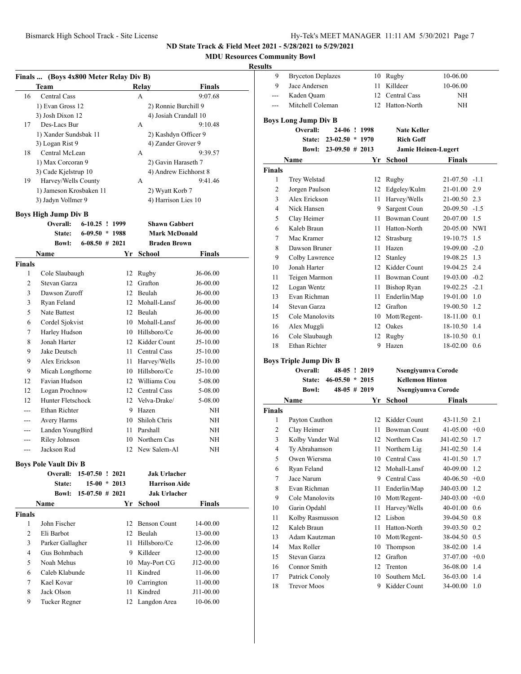**MDU Resources Community Bowl**

|                | Finals  (Boys 4x800 Meter Relay Div B) |                   |    |                       |            |
|----------------|----------------------------------------|-------------------|----|-----------------------|------------|
|                | Team                                   |                   |    | Relay                 | Finals     |
| 16             | <b>Central Cass</b>                    |                   |    | A                     | 9:07.68    |
|                | 1) Evan Gross 12                       |                   |    | 2) Ronnie Burchill 9  |            |
|                | 3) Josh Dixon 12                       |                   |    | 4) Josiah Crandall 10 |            |
| 17             | Des-Lacs Bur                           |                   |    | А                     | 9:10.48    |
|                | 1) Xander Sundsbak 11                  |                   |    | 2) Kashdyn Officer 9  |            |
|                | 3) Logan Rist 9                        |                   |    | 4) Zander Grover 9    |            |
| 18             | Central McLean                         |                   |    | А                     | 9:39.57    |
|                | 1) Max Corcoran 9                      |                   |    | 2) Gavin Haraseth 7   |            |
|                | 3) Cade Kjelstrup 10                   |                   |    | 4) Andrew Eichhorst 8 |            |
| 19             | Harvey/Wells County                    |                   |    | А                     | 9:41.46    |
|                | 1) Jameson Krosbaken 11                |                   |    | 2) Wyatt Korb 7       |            |
|                | 3) Jadyn Vollmer 9                     |                   |    | 4) Harrison Lies 10   |            |
|                | <b>Boys High Jump Div B</b>            |                   |    |                       |            |
|                | Overall:                               | $6-10.25$ ! 1999  |    | <b>Shawn Gabbert</b>  |            |
|                | State:                                 | $6-09.50 * 1988$  |    | <b>Mark McDonald</b>  |            |
|                | Bowl:                                  | $6-08.50$ # 2021  |    | <b>Braden Brown</b>   |            |
|                | Name                                   |                   | Yr | School                | Finals     |
| <b>Finals</b>  |                                        |                   |    |                       |            |
| 1              | Cole Slaubaugh                         |                   |    | 12 Rugby              | J6-06.00   |
| 2              | Stevan Garza                           |                   |    | 12 Grafton            | J6-00.00   |
| 3              | Dawson Zuroff                          |                   |    | 12 Beulah             | $J6-00.00$ |
| 3              | Ryan Feland                            |                   |    | 12 Mohall-Lansf       | $J6-00.00$ |
| 5              | Nate Battest                           |                   |    | 12 Beulah             | J6-00.00   |
| 6              | Cordel Sjokvist                        |                   |    | 10 Mohall-Lansf       | J6-00.00   |
| 7              | Harley Hudson                          |                   |    | 10 Hillsboro/Ce       | J6-00.00   |
| 8              | Jonah Harter                           |                   |    | 12 Kidder Count       | J5-10.00   |
| 9              | Jake Deutsch                           |                   |    | 11 Central Cass       | J5-10.00   |
| 9              | Alex Erickson                          |                   |    | 11 Harvey/Wells       | $J5-10.00$ |
| 9              | Micah Longthorne                       |                   |    | 10 Hillsboro/Ce       | $J5-10.00$ |
| 12             | Favian Hudson                          |                   |    | 12 Williams Cou       | 5-08.00    |
| 12             | Logan Prochnow                         |                   |    | 12 Central Cass       | 5-08.00    |
| 12             | Hunter Fletschock                      |                   |    | 12 Velva-Drake/       | 5-08.00    |
|                | Ethan Richter                          |                   |    | 9 Hazen               | NΗ         |
|                | Avery Harms                            |                   |    | 10 Shiloh Chris       | NH         |
| ---            | Landen YoungBird                       |                   |    | 11 Parshall           | NH         |
| ---            | Riley Johnson                          |                   |    | 10 Northern Cas       | NΗ         |
|                | Jackson Rud                            |                   |    | 12 New Salem-Al       | NΗ         |
| ---            |                                        |                   |    |                       |            |
|                | <b>Boys Pole Vault Div B</b>           |                   |    |                       |            |
|                | Overall:                               | 15-07.50 ! 2021   |    | <b>Jak Urlacher</b>   |            |
|                | <b>State:</b>                          | $15-00 * 2013$    |    | <b>Harrison Aide</b>  |            |
|                | Bowl:                                  | $15-07.50$ # 2021 |    | <b>Jak Urlacher</b>   |            |
|                | Name                                   |                   |    | Yr School             | Finals     |
| <b>Finals</b>  |                                        |                   |    |                       |            |
| 1              | John Fischer                           |                   |    | 12 Benson Count       | 14-00.00   |
| $\overline{2}$ | Eli Barbot                             |                   |    | 12 Beulah             | 13-00.00   |
| 3              | Parker Gallagher                       |                   |    | 11 Hillsboro/Ce       | 12-06.00   |
| $\overline{4}$ | Gus Bohmbach                           |                   |    | 9 Killdeer            | 12-00.00   |
| 5              | Noah Mehus                             |                   |    | 10 May-Port CG        | J12-00.00  |
| 6              | Caleb Klabunde                         |                   |    | 11 Kindred            | 11-06.00   |
| 7              | Kael Kovar                             |                   |    | 10 Carrington         | 11-00.00   |
| 8              | Jack Olson                             |                   | 11 | Kindred               | J11-00.00  |
| 9              | Tucker Regner                          |                   | 12 | Langdon Area          | 10-06.00   |
|                |                                        |                   |    |                       |            |

| 9                           | <b>Bryceton Deplazes</b>             |                     |                | 10      | Rugby                        | 10-06.00             |            |
|-----------------------------|--------------------------------------|---------------------|----------------|---------|------------------------------|----------------------|------------|
| 9                           | Jace Andersen                        |                     |                | 11      | Killdeer                     | 10-06.00             |            |
|                             | Kaden Quam                           |                     |                | 12      | <b>Central Cass</b>          | ΝH                   |            |
| ---                         | Mitchell Coleman                     |                     |                | 12      | Hatton-North                 | NH                   |            |
| <b>Boys Long Jump Div B</b> |                                      |                     |                |         |                              |                      |            |
|                             | Overall:                             |                     | 24-06 ! 1998   |         | <b>Nate Keller</b>           |                      |            |
|                             | <b>State:</b>                        | $23-02.50 * 1970$   |                |         | <b>Rich Goff</b>             |                      |            |
|                             | <b>Bowl:</b>                         | $23-09.50 \# 2013$  |                |         | <b>Jamie Heinen-Lugert</b>   |                      |            |
|                             | Name                                 |                     |                | Yr      | School                       | Finals               |            |
| <b>Finals</b>               |                                      |                     |                |         |                              |                      |            |
| 1                           | Trey Welstad                         |                     |                |         | 12 Rugby                     | 21-07.50 -1.1        |            |
| 2                           | Jorgen Paulson                       |                     |                |         | 12 Edgeley/Kulm              | 21-01.00 2.9         |            |
| 3                           | Alex Erickson                        |                     |                |         | 11 Harvey/Wells              | 21-00.50 2.3         |            |
| 4                           | Nick Hansen                          |                     |                |         | 9 Sargent Coun               | $20-09.50 -1.5$      |            |
| 5                           | Clay Heimer                          |                     |                |         | 11 Bowman Count              | 20-07.00 1.5         |            |
| 6                           | Kaleb Braun                          |                     |                |         | 11 Hatton-North              | 20-05.00 NWI         |            |
| 7                           | Mac Kramer                           |                     |                | 12      | Strasburg                    | 19-10.75             | 1.5        |
| 8                           | Dawson Bruner                        |                     |                |         | 11 Hazen                     | $19-09.00 - 2.0$     |            |
| 9                           | Colby Lawrence                       |                     |                |         | 12 Stanley                   | 19-08.25 1.3         |            |
| 10                          | Jonah Harter                         |                     |                |         | 12 Kidder Count              | 19-04.25 2.4         |            |
| 11                          | Teigen Marmon                        |                     |                |         | 11 Bowman Count              | $19-03.00 -0.2$      |            |
| 12                          | Logan Wentz                          |                     |                |         | 11 Bishop Ryan               | $19-02.25 -2.1$      |            |
| 13                          | Evan Richman                         |                     |                |         | 11 Enderlin/Map              | 19-01.00 1.0         |            |
| 14                          | Stevan Garza                         |                     |                |         | 12 Grafton                   | 19-00.50 1.2         |            |
| 15                          | Cole Manolovits                      |                     |                |         | 10 Mott/Regent-              | 18-11.00 0.1         |            |
| 16                          | Alex Muggli                          |                     |                |         | 12 Oakes                     | 18-10.50 1.4         |            |
|                             | Cole Slaubaugh                       |                     |                |         |                              |                      |            |
|                             |                                      |                     |                |         |                              |                      |            |
| 16                          |                                      |                     |                | 12      | Rugby                        | 18-10.50 0.1         |            |
| 18                          | <b>Ethan Richter</b>                 |                     |                | 9       | Hazen                        | $18-02.00$ 0.6       |            |
|                             | <b>Boys Triple Jump Div B</b>        |                     |                |         |                              |                      |            |
|                             | Overall:                             |                     | 48-05 ! 2019   |         | Nsengiyumva Corode           |                      |            |
|                             | State:                               | $46 - 05.50 * 2015$ |                |         | <b>Kellemon Hinton</b>       |                      |            |
|                             | <b>Bowl:</b>                         |                     | $48-05$ # 2019 |         | Nsengiyumva Corode           |                      |            |
|                             | Name                                 |                     |                | Yr      | <b>School</b>                | Finals               |            |
| <b>Finals</b>               |                                      |                     |                |         |                              |                      |            |
| 1                           | Payton Cauthon                       |                     |                |         | 12 Kidder Count              | 43-11.50 2.1         |            |
| 2                           | Clay Heimer                          |                     |                |         | 11 Bowman Count              | $41-05.00 +0.0$      |            |
| 3                           | Kolby Vander Wal                     |                     |                |         | 12 Northern Cas              | J41-02.50            | 1.7        |
| 4                           | Ty Abrahamson                        |                     |                | 11      | Northern Lig                 | J41-02.50            | 1.4        |
| 5                           | Owen Wiersma                         |                     |                |         | 10 Central Cass              | 41-01.50             | 1.7        |
| 6                           | Ryan Feland                          |                     |                | 12      | Mohall-Lansf                 | 40-09.00             | 1.2        |
| 7                           | Jace Narum                           |                     |                | 9.      | Central Cass                 | 40-06.50             | $+0.0$     |
| 8                           | Evan Richman                         |                     |                | 11      | Enderlin/Map                 | J40-03.00            | 1.2        |
| 9                           | Cole Manolovits                      |                     |                | 10      | Mott/Regent-                 | J40-03.00            | $+0.0$     |
| 10                          | Garin Opdahl                         |                     |                | 11      | Harvey/Wells                 | 40-01.00             | 0.6        |
| 11                          | Kolby Rasmusson                      |                     |                | 12      | Lisbon                       | 39-04.50             | 0.8        |
| 12                          | Kaleb Braun                          |                     |                | 11      | Hatton-North                 | 39-03.50             | 0.2        |
| 13                          | Adam Kautzman                        |                     |                | 10      | Mott/Regent-                 | 38-04.50             | 0.5        |
| 14                          | Max Roller                           |                     |                | 10      | Thompson                     | 38-02.00             | 1.4        |
| 15                          | Stevan Garza                         |                     |                | 12      | Grafton                      | 37-07.00             | $+0.0$     |
| 16                          | Connor Smith                         |                     |                | 12      | Trenton                      | 36-08.00             | 1.4        |
| 17<br>18                    | Patrick Conoly<br><b>Trevor Moos</b> |                     |                | 10<br>9 | Southern McL<br>Kidder Count | 36-03.00<br>34-00.00 | 1.4<br>1.0 |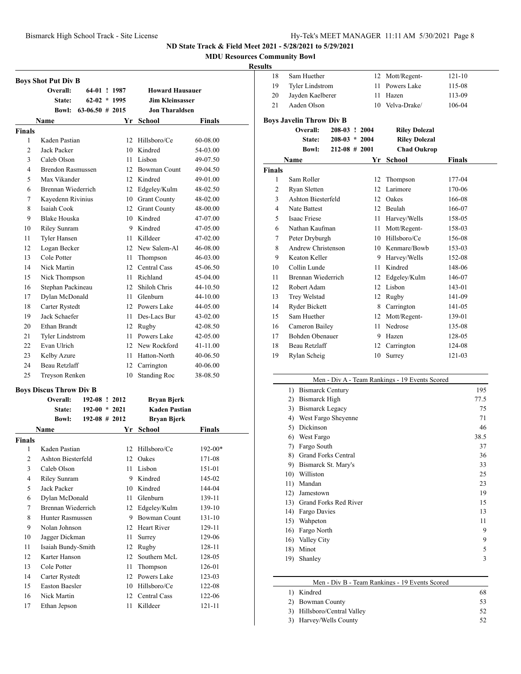**MDU Resources Community Bowl**

|                         | <b>Boys Shot Put Div B</b>     |                    |    |                        |               |
|-------------------------|--------------------------------|--------------------|----|------------------------|---------------|
|                         | Overall:                       | 64-01 ! 1987       |    | <b>Howard Hausauer</b> |               |
|                         | State:                         | $62-02 * 1995$     |    | <b>Jim Kleinsasser</b> |               |
|                         | <b>Bowl:</b>                   | $63-06.50$ # 2015  |    | <b>Jon Tharaldsen</b>  |               |
|                         | Name                           |                    |    | Yr School              | <b>Finals</b> |
| <b>Finals</b>           |                                |                    |    |                        |               |
| 1                       | Kaden Pastian                  |                    | 12 | Hillsboro/Ce           | 60-08.00      |
| $\overline{c}$          | Jack Packer                    |                    |    | 10 Kindred             | 54-03.00      |
| 3                       | Caleb Olson                    |                    |    | 11 Lisbon              | 49-07.50      |
| 4                       | <b>Brendon Rasmussen</b>       |                    |    | 12 Bowman Count        | 49-04.50      |
| 5                       | Max Vikander                   |                    |    | 12 Kindred             | 49-01.00      |
| 6                       | Brennan Wiederrich             |                    |    | 12 Edgeley/Kulm        | 48-02.50      |
| 7                       | Kayedenn Rivinius              |                    |    | 10 Grant County        | 48-02.00      |
| 8                       | Isaiah Cook                    |                    | 12 | <b>Grant County</b>    | 48-00.00      |
| 9                       | <b>Blake Houska</b>            |                    |    | 10 Kindred             | 47-07.00      |
| 10                      | Riley Sunram                   |                    |    | 9 Kindred              | 47-05.00      |
| 11                      | <b>Tyler Hansen</b>            |                    | 11 | Killdeer               | 47-02.00      |
| 12                      | Logan Becker                   |                    |    | 12 New Salem-Al        | 46-08.00      |
| 13                      | Cole Potter                    |                    | 11 | Thompson               | 46-03.00      |
| 14                      | Nick Martin                    |                    |    | 12 Central Cass        | 45-06.50      |
| 15                      | Nick Thompson                  |                    | 11 | Richland               | 45-04.00      |
| 16                      | Stephan Packineau              |                    |    | 12 Shiloh Chris        | 44-10.50      |
| 17                      | Dylan McDonald                 |                    | 11 | Glenburn               | 44-10.00      |
| 18                      | Carter Rystedt                 |                    |    | 12 Powers Lake         | 44-05.00      |
| 19                      | Jack Schaefer                  |                    |    | 11 Des-Lacs Bur        | 43-02.00      |
| 20                      | Ethan Brandt                   |                    |    | 12 Rugby               | 42-08.50      |
| 21                      | <b>Tyler Lindstrom</b>         |                    |    | 11 Powers Lake         | 42-05.00      |
| 22                      | Evan Ulrich                    |                    |    | 12 New Rockford        | 41-11.00      |
| 23                      | Kelby Azure                    |                    | 11 | Hatton-North           | 40-06.50      |
| 24                      | Beau Retzlaff                  |                    | 12 | Carrington             | 40-06.00      |
| 25                      | Treyson Renken                 |                    | 10 | <b>Standing Roc</b>    | 38-08.50      |
|                         |                                |                    |    |                        |               |
|                         | <b>Boys Discus Throw Div B</b> |                    |    |                        |               |
|                         | Overall:                       | 192-08 ! 2012      |    | Bryan Bjerk            |               |
|                         | State:                         | $192-00 * 2021$    |    | <b>Kaden Pastian</b>   |               |
|                         | <b>Bowl:</b>                   | $192 - 08 \# 2012$ |    | <b>Bryan Bjerk</b>     |               |
|                         | Name                           |                    | Yr | <b>School</b>          | Finals        |
| <b>Finals</b>           |                                |                    |    |                        |               |
|                         | 1 Kaden Pastian                |                    |    | 12 Hillsboro/Ce        | $192 - 00*$   |
| $\overline{\mathbf{c}}$ | Ashton Biesterfeld             |                    | 12 | Oakes                  | 171-08        |
| 3                       | Caleb Olson                    |                    | 11 | Lisbon                 | 151-01        |
| 4                       | Riley Sunram                   |                    | 9  | Kindred                | 145-02        |
| 5                       | <b>Jack Packer</b>             |                    | 10 | Kindred                | 144-04        |
| 6                       | Dylan McDonald                 |                    | 11 | Glenburn               | 139-11        |
| $\tau$                  | Brennan Wiederrich             |                    | 12 | Edgeley/Kulm           | 139-10        |
| $\,$ 8 $\,$             | <b>Hunter Rasmussen</b>        |                    | 9  | Bowman Count           | 131-10        |
| 9                       | Nolan Johnson                  |                    | 12 | Heart River            | 129-11        |
| 10                      | Jagger Dickman                 |                    | 11 | Surrey                 | 129-06        |
| 11                      | Isaiah Bundy-Smith             |                    | 12 | Rugby                  | 128-11        |
| 12                      | Karter Hanson                  |                    | 12 | Southern McL           | 128-05        |
| 13                      | Cole Potter                    |                    | 11 | Thompson               | 126-01        |
| 14                      | Carter Rystedt                 |                    | 12 | Powers Lake            | 123-03        |
| 15                      | Easton Baesler                 |                    | 10 | Hillsboro/Ce           | 122-08        |
| 16                      | Nick Martin                    |                    | 12 | Central Cass           | 122-06        |
| 17                      | Ethan Jepson                   |                    | 11 | Killdeer               | 121-11        |

| uns            |                                 |                   |    |                      |               |
|----------------|---------------------------------|-------------------|----|----------------------|---------------|
| 18             | Sam Huether                     |                   | 12 | Mott/Regent-         | 121-10        |
| 19             | <b>Tyler Lindstrom</b>          |                   | 11 | Powers Lake          | 115-08        |
| 20             | Jayden Kaelberer                |                   | 11 | Hazen                | 113-09        |
| 21             | Aaden Olson                     |                   | 10 | Velva-Drake/         | 106-04        |
|                | <b>Boys Javelin Throw Div B</b> |                   |    |                      |               |
|                | Overall:                        | 208-03 ! 2004     |    | <b>Riley Dolezal</b> |               |
|                | State:                          | $208-03 * 2004$   |    | <b>Riley Dolezal</b> |               |
|                | <b>Bowl:</b>                    | $212 - 08$ # 2001 |    | <b>Chad Oukrop</b>   |               |
|                | Name                            |                   | Yr | <b>School</b>        | <b>Finals</b> |
| <b>Finals</b>  |                                 |                   |    |                      |               |
| 1              | Sam Roller                      |                   | 12 | Thompson             | 177-04        |
| 2              | Ryan Sletten                    |                   | 12 | Larimore             | 170-06        |
| 3              | Ashton Biesterfeld              |                   |    | 12 Oakes             | 166-08        |
| $\overline{4}$ | <b>Nate Battest</b>             |                   | 12 | Beulah               | 166-07        |
| 5              | Isaac Friese                    |                   | 11 | Harvey/Wells         | 158-05        |
| 6              | Nathan Kaufman                  |                   | 11 | Mott/Regent-         | 158-03        |
| 7              | Peter Dryburgh                  |                   | 10 | Hillsboro/Ce         | 156-08        |
| 8              | Andrew Christenson              |                   |    | 10 Kenmare/Bowb      | 153-03        |
| 9              | Keaton Keller                   |                   | 9  | Harvey/Wells         | 152-08        |
| 10             | Collin Lunde                    |                   | 11 | Kindred              | 148-06        |
| 11             | Brennan Wiederrich              |                   | 12 | Edgeley/Kulm         | 146-07        |
| 12             | Robert Adam                     |                   | 12 | Lisbon               | 143-01        |
| 13             | Trey Welstad                    |                   | 12 | Rugby                | 141-09        |
| 14             | <b>Ryder Bickett</b>            |                   | 8  | Carrington           | 141-05        |
| 15             | Sam Huether                     |                   | 12 | Mott/Regent-         | 139-01        |
| 16             | Cameron Bailey                  |                   | 11 | Nedrose              | 135-08        |
| 17             | <b>Bohden Obenauer</b>          |                   | 9  | Hazen                | 128-05        |
| 18             | Beau Retzlaff                   |                   | 12 | Carrington           | 124-08        |
| 19             | Rylan Scheig                    |                   | 10 | Surrey               | 121-03        |
|                |                                 |                   |    |                      |               |

|              | Men - Div A - Team Rankings - 19 Events Scored |      |
|--------------|------------------------------------------------|------|
| 1)           | <b>Bismarck Century</b>                        | 195  |
| $\mathbf{2}$ | Bismarck High                                  | 77.5 |
| 3)           | <b>Bismarck Legacy</b>                         | 75   |
| 4)           | West Fargo Sheyenne                            | 71   |
| 5)           | Dickinson                                      | 46   |
| 6)           | West Fargo                                     | 38.5 |
| 7)           | Fargo South                                    | 37   |
| 8)           | <b>Grand Forks Central</b>                     | 36   |
| 9)           | Bismarck St. Mary's                            | 33   |
| 10)          | Williston                                      | 25   |
| 11)          | Mandan                                         | 23   |
| 12)          | Jamestown                                      | 19   |
| 13)          | Grand Forks Red River                          | 15   |
| 14)          | Fargo Davies                                   | 13   |
| 15)          | Wahpeton                                       | 11   |
| 16)          | Fargo North                                    | 9    |
| 16)          | Valley City                                    | 9    |
| 18)          | Minot                                          | 5    |
| 19)          | Shanley                                        | 3    |
|              |                                                |      |

| Men - Div B - Team Rankings - 19 Events Scored |  |  |  |
|------------------------------------------------|--|--|--|
|------------------------------------------------|--|--|--|

| 1) Kindred                  | 68  |
|-----------------------------|-----|
| 2) Bowman County            | 53. |
| 3) Hillsboro/Central Valley | 52. |
| 3) Harvey/Wells County      | 52. |